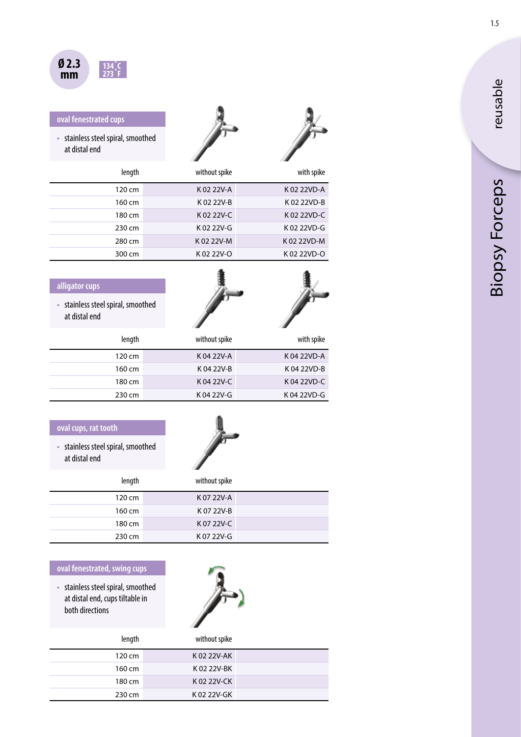

## **oval fenestrated cups**

• stainless steel spiral, smoothed at distal end



1



鲁。

| length | without spike | with spike  |
|--------|---------------|-------------|
| 120 cm | K02 22V-A     | K 02 22VD-A |
| 160 cm | K 02 22V-B    | K 02 22VD-B |
| 180 cm | $K$ 02 22V-C  | K 02 22VD-C |
| 230 cm | K 02 22V-G    | K 02 22VD-G |
| 280 cm | K 02 22V-M    | K 02 22VD-M |
| 300 cm | K02 22V-O     | K02 22VD-O  |

|             |               | alligator cups                                      |  |
|-------------|---------------|-----------------------------------------------------|--|
|             |               | • stainless steel spiral, smoothed<br>at distal end |  |
| with spike  | without spike | length                                              |  |
| K04 22VD-A  | K 04 22V-A    | 120 cm                                              |  |
| K04 22VD-B  | K 04 22V-B    | 160 cm                                              |  |
| K04 22VD-C  | K04 22V-C     | 180 cm                                              |  |
| K 04 22VD-G | K 04 22V-G    | 230 cm                                              |  |

| oval cups, rat tooth<br>• stainless steel spiral, smoothed<br>at distal end |               |  |
|-----------------------------------------------------------------------------|---------------|--|
| length                                                                      | without spike |  |
| 120 cm                                                                      | K07 22V-A     |  |
| 160 cm                                                                      | K0722V-B      |  |
| 180 cm                                                                      | K 07 22V-C    |  |
| 230 cm                                                                      | K 07 22V-G    |  |

## **oval fenestrated, swing cups**

• stainless steel spiral, smoothed at distal end, cups tiltable in both directions



| length | without spike |  |
|--------|---------------|--|
| 120 cm | K 02 22V-AK   |  |
| 160 cm | K 02 22V-BK   |  |
| 180 cm | K 02 22V-CK   |  |
| 230 cm | K 02 22V-GK   |  |

1.5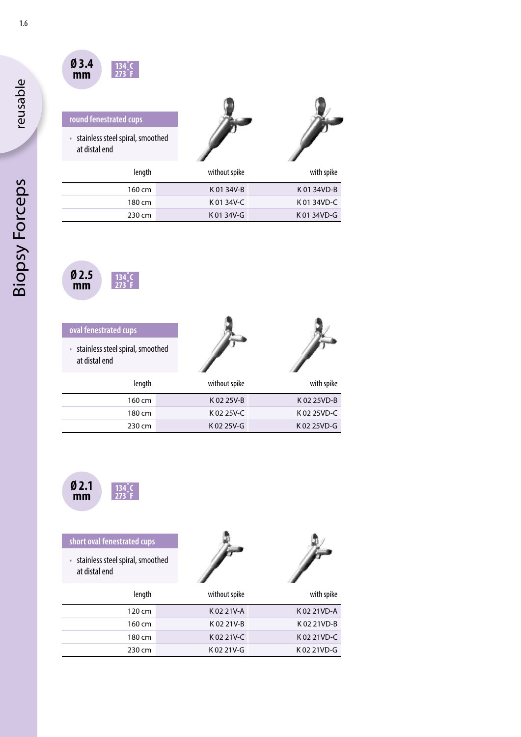

| round fenestrated cups<br>stainless steel spiral, smoothed<br>at distal end |               |             |
|-----------------------------------------------------------------------------|---------------|-------------|
| length                                                                      | without spike | with spike  |
| 160 cm                                                                      | K 01 34V-B    | K 01 34VD-B |

180 cm K 01 34V-C K 01 34VD-C 230 cm K 01 34V-G K 01 34VD-G



| oval fenestrated cups                             |               |             |
|---------------------------------------------------|---------------|-------------|
| stainless steel spiral, smoothed<br>at distal end |               |             |
| length                                            | without spike | with spike  |
| 160 cm                                            | K 02 25V-B    | K02 25VD-B  |
| 180 cm                                            | K02 25V-C     | K 02 25VD-C |
| 230 cm                                            | K02 25V-G     | K02 25VD-G  |



| short oval fenestrated cups                                    |               |              |
|----------------------------------------------------------------|---------------|--------------|
| stainless steel spiral, smoothed<br>$\bullet$<br>at distal end |               |              |
| length                                                         | without spike | with spike   |
| 120 cm                                                         | K02 21V-A     | K02 21VD-A   |
| 160 cm                                                         | K0221V-B      | K02 21VD-B   |
| 180 cm                                                         | K02 21V-C     | K 02 21 VD-C |
| 230 cm                                                         | K02 21V-G     | K02 21VD-G   |

reusable